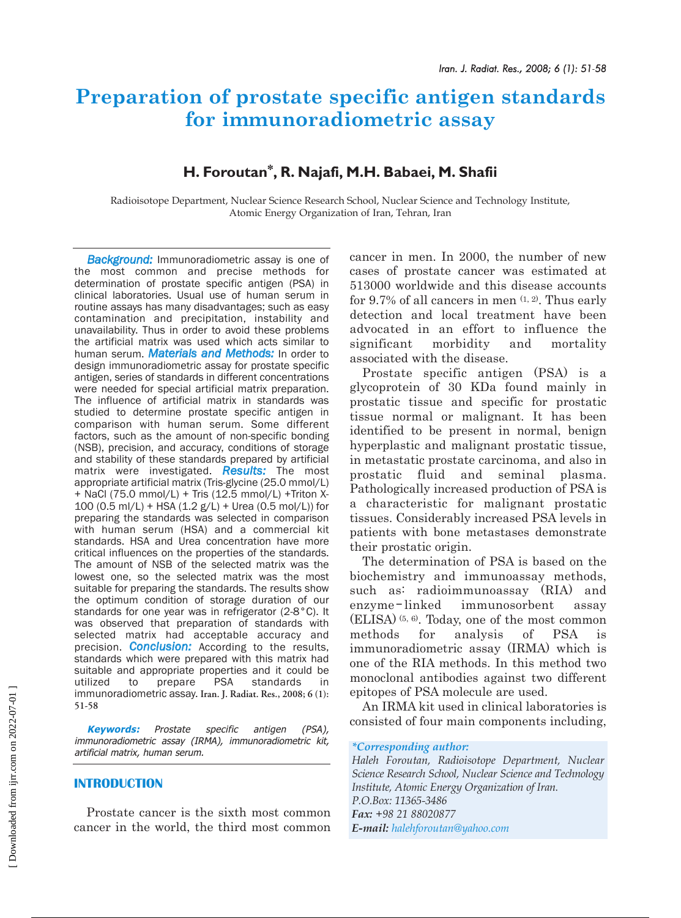# **Preparation of prostate specific antigen standards for immunoradiometric assay**

## **H. Foroutan\*, R. Najafi, M.H. Babaei, M. Shafii**

Radioisotope Department, Nuclear Science Research School, Nuclear Science and Technology Institute, Atomic Energy Organization of Iran, Tehran, Iran

*Background:* Immunoradiometric assay is one of the most common and precise methods for determination of prostate specific antigen (PSA) in clinical laboratories. Usual use of human serum in routine assays has many disadvantages; such as easy contamination and precipitation, instability and unavailability. Thus in order to avoid these problems the artificial matrix was used which acts similar to human serum. *Materials and Methods:* In order to design immunoradiometric assay for prostate specific antigen, series of standards in different concentrations were needed for special artificial matrix preparation. The influence of artificial matrix in standards was studied to determine prostate specific antigen in comparison with human serum. Some different factors, such as the amount of non-specific bonding (NSB), precision, and accuracy, conditions of storage and stability of these standards prepared by artificial matrix were investigated. *Results:* The most appropriate artificial matrix (Tris-glycine (25.0 mmol/L) + NaCl (75.0 mmol/L) + Tris (12.5 mmol/L) +Triton X-100 (0.5 ml/L) + HSA (1.2 g/L) + Urea (0.5 mol/L)) for preparing the standards was selected in comparison with human serum (HSA) and a commercial kit standards. HSA and Urea concentration have more critical influences on the properties of the standards. The amount of NSB of the selected matrix was the lowest one, so the selected matrix was the most suitable for preparing the standards. The results show the optimum condition of storage duration of our standards for one year was in refrigerator (2-8°C). It was observed that preparation of standards with selected matrix had acceptable accuracy and precision. *Conclusion:* According to the results, standards which were prepared with this matrix had suitable and appropriate properties and it could be utilized to prepare PSA standards in utilized to prepare PSA standards in immunoradiometric assay. **Iran. J. Radiat. Res., 2008; 6 (1): 51-58** 

**Keywords:** Prostate specific antigen (PSA), immunoradiometric assay (IRMA), immunoradiometric kit, artificial matrix, human serum. *\*Corresponding author:*

#### **INTRODUCTION**

Prostate cancer is the sixth most common cancer in the world, the third most common

cancer in men. In 2000, the number of new cases of prostate cancer was estimated at 513000 worldwide and this disease accounts for 9.7% of all cancers in men  $(1, 2)$ . Thus early detection and local treatment have been advocated in an effort to influence the significant morbidity and mortality associated with the disease.

Prostate specific antigen (PSA) is a glycoprotein of 30 KDa found mainly in prostatic tissue and specific for prostatic tissue normal or malignant. It has been identified to be present in normal, benign hyperplastic and malignant prostatic tissue, in metastatic prostate carcinoma, and also in prostatic fluid and seminal plasma. Pathologically increased production of PSA is a characteristic for malignant prostatic tissues. Considerably increased PSA levels in patients with bone metastases demonstrate their prostatic origin.

The determination of PSA is based on the biochemistry and immunoassay methods, such as: radioimmunoassay (RIA) and enzyme-linked immunosorbent assay (ELISA) (5, 6). Today, one of the most common methods for analysis of PSA is immunoradiometric assay (IRMA) which is one of the RIA methods. In this method two monoclonal antibodies against two different epitopes of PSA molecule are used.

An IRMA kit used in clinical laboratories is consisted of four main components including,

*Haleh Foroutan, Radioisotope Department, Nuclear Science Research School, Nuclear Science and Technology Institute, Atomic Energy Organization of Iran. P.O.Box: 11365-3486 Fax: +98 21 88020877 E-mail: halehforoutan@yahoo.com*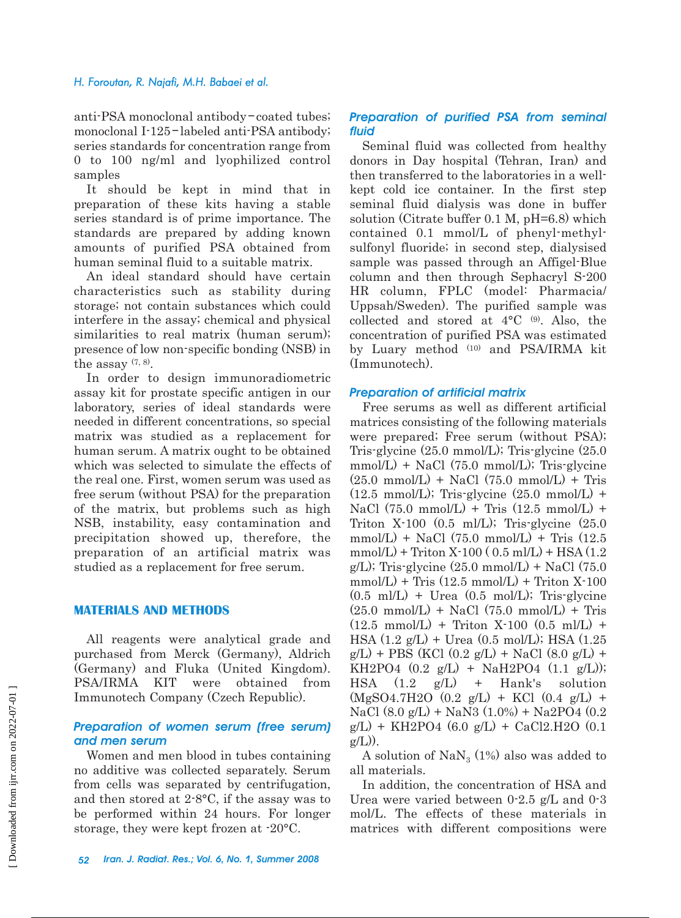#### *H. Foroutan, R. Najafi, M.H. Babaei et al.*

anti-PSA monoclonal antibody-coated tubes; monoclonal I-125-labeled anti-PSA antibody; series standards for concentration range from 0 to 100 ng/ml and lyophilized control samples

It should be kept in mind that in preparation of these kits having a stable series standard is of prime importance. The standards are prepared by adding known amounts of purified PSA obtained from human seminal fluid to a suitable matrix.

An ideal standard should have certain characteristics such as stability during storage; not contain substances which could interfere in the assay; chemical and physical similarities to real matrix (human serum); presence of low non-specific bonding (NSB) in the assay  $(7, 8)$ .

In order to design immunoradiometric assay kit for prostate specific antigen in our laboratory, series of ideal standards were needed in different concentrations, so special matrix was studied as a replacement for human serum. A matrix ought to be obtained which was selected to simulate the effects of the real one. First, women serum was used as free serum (without PSA) for the preparation of the matrix, but problems such as high NSB, instability, easy contamination and precipitation showed up, therefore, the preparation of an artificial matrix was studied as a replacement for free serum.

#### **MATERIALS AND METHODS**

All reagents were analytical grade and purchased from Merck (Germany), Aldrich (Germany) and Fluka (United Kingdom). PSA/IRMA KIT were obtained from Immunotech Company (Czech Republic).

#### *Preparation of women serum (free serum) and men serum*

Women and men blood in tubes containing no additive was collected separately. Serum from cells was separated by centrifugation, and then stored at 2-8°C, if the assay was to be performed within 24 hours. For longer storage, they were kept frozen at -20°C.

#### *Preparation of purified PSA from seminal fluid*

Seminal fluid was collected from healthy donors in Day hospital (Tehran, Iran) and then transferred to the laboratories in a wellkept cold ice container. In the first step seminal fluid dialysis was done in buffer solution (Citrate buffer 0.1 M, pH=6.8) which contained 0.1 mmol/L of phenyl-methylsulfonyl fluoride; in second step, dialysised sample was passed through an Affigel-Blue column and then through Sephacryl S-200 HR column, FPLC (model: Pharmacia/ Uppsah/Sweden). The purified sample was collected and stored at  $4^{\circ}C$  (9). Also, the concentration of purified PSA was estimated by Luary method (10) and PSA/IRMA kit (Immunotech).

#### *Preparation of artificial matrix*

Free serums as well as different artificial matrices consisting of the following materials were prepared; Free serum (without PSA); Tris-glycine (25.0 mmol/L); Tris-glycine (25.0  $mmol/L$ ) + NaCl (75.0 mmol/L); Tris-glycine  $(25.0 \text{ mmol/L})$  + NaCl  $(75.0 \text{ mmol/L})$  + Tris  $(12.5 \text{ mmol/L})$ ; Tris-glycine  $(25.0 \text{ mmol/L})$  + NaCl  $(75.0 \text{ mmol/L})$  + Tris  $(12.5 \text{ mmol/L})$  + Triton X-100 (0.5 ml/L); Tris-glycine (25.0  $mmol/L$ ) + NaCl (75.0 mmol/L) + Tris (12.5  $mmol/L$ ) + Triton X $-100$  ( 0.5 ml/L) + HSA (1.2  $g/L$ ); Tris-glycine  $(25.0 \text{ mmol/L}) + \text{NaCl}$  (75.0  $mmol/L$ ) + Tris (12.5 mmol/L) + Triton X-100  $(0.5 \text{ m}I/L)$  + Urea  $(0.5 \text{ mol}/L)$ ; Tris-glycine  $(25.0 \text{ mmol/L})$  + NaCl  $(75.0 \text{ mmol/L})$  + Tris  $(12.5 \text{ mmol/L}) + \text{Triton X-100} (0.5 \text{ mL}) +$ HSA (1.2 g/L) + Urea (0.5 mol/L); HSA (1.25  $g/L$ ) + PBS (KCl (0.2  $g/L$ ) + NaCl (8.0  $g/L$ ) + KH2PO4  $(0.2 \text{ g/L})$  + NaH2PO4  $(1.1 \text{ g/L})$ ; HSA (1.2 g/L) + Hank's solution  $(MgSO4.7H2O (0.2 g/L) + KCl (0.4 g/L) +$ NaCl  $(8.0 \text{ g/L})$  + NaN3  $(1.0\%)$  + Na2PO4  $(0.2$  $g/L$ ) + KH2PO4 (6.0  $g/L$ ) + CaCl2.H2O (0.1  $g(L)$ ).

A solution of  $\text{NaN}_3$  (1%) also was added to all materials.

In addition, the concentration of HSA and Urea were varied between 0-2.5 g/L and 0-3 mol/L. The effects of these materials in matrices with different compositions were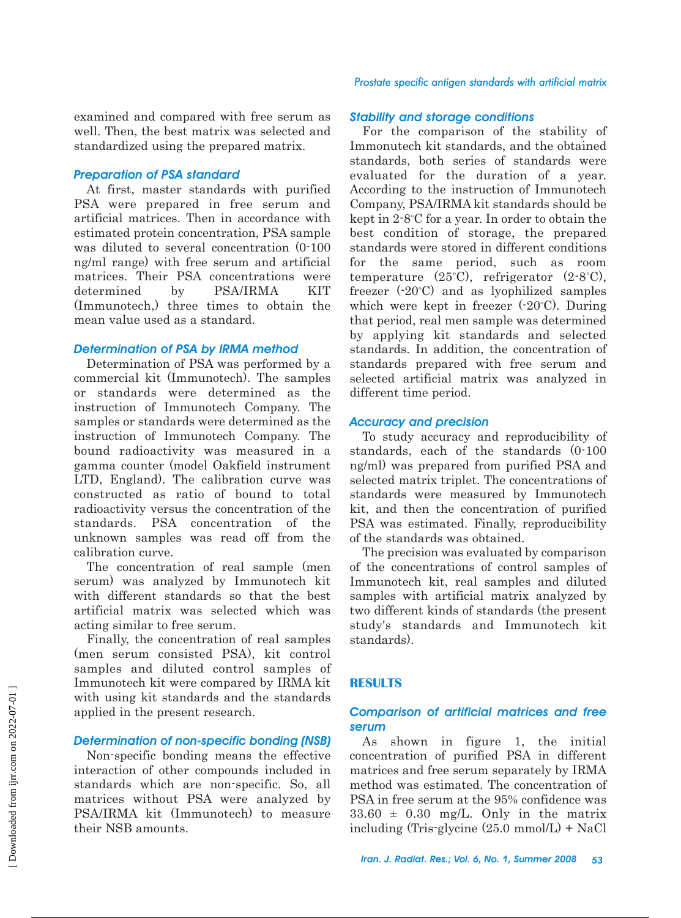examined and compared with free serum as well. Then, the best matrix was selected and standardized using the prepared matrix.

#### *Preparation of PSA standard*

At first, master standards with purified PSA were prepared in free serum and artificial matrices. Then in accordance with estimated protein concentration, PSA sample was diluted to several concentration (0-100 ng/ml range) with free serum and artificial matrices. Their PSA concentrations were determined by PSA/IRMA KIT (Immunotech,) three times to obtain the mean value used as a standard.

#### *Determination of PSA by IRMA method*

Determination of PSA was performed by a commercial kit (Immunotech). The samples or standards were determined as the instruction of Immunotech Company. The samples or standards were determined as the instruction of Immunotech Company. The bound radioactivity was measured in a gamma counter (model Oakfield instrument LTD, England). The calibration curve was constructed as ratio of bound to total radioactivity versus the concentration of the standards. PSA concentration of the unknown samples was read off from the calibration curve.

The concentration of real sample (men serum) was analyzed by Immunotech kit with different standards so that the best artificial matrix was selected which was acting similar to free serum.

Finally, the concentration of real samples (men serum consisted PSA), kit control samples and diluted control samples of Immunotech kit were compared by IRMA kit with using kit standards and the standards applied in the present research.

#### *Determination of non-specific bonding (NSB)*

Non-specific bonding means the effective interaction of other compounds included in standards which are non-specific. So, all matrices without PSA were analyzed by PSA/IRMA kit (Immunotech) to measure their NSB amounts.

#### *Prostate specific antigen standards with artificial matrix*

#### *Stability and storage conditions*

For the comparison of the stability of Immonutech kit standards, and the obtained standards, both series of standards were evaluated for the duration of a year. According to the instruction of Immunotech Company, PSA/IRMA kit standards should be kept in  $2.8^{\circ}$ C for a year. In order to obtain the best condition of storage, the prepared standards were stored in different conditions for the same period, such as room temperature  $(25^{\circ}C)$ , refrigerator  $(2.8^{\circ}C)$ , freezer  $(-20^{\circ}C)$  and as lyophilized samples which were kept in freezer  $(-20^{\circ}C)$ . During that period, real men sample was determined by applying kit standards and selected standards. In addition, the concentration of standards prepared with free serum and selected artificial matrix was analyzed in different time period.

#### *Accuracy and precision*

To study accuracy and reproducibility of standards, each of the standards (0-100 ng/ml) was prepared from purified PSA and selected matrix triplet. The concentrations of standards were measured by Immunotech kit, and then the concentration of purified PSA was estimated. Finally, reproducibility of the standards was obtained.

The precision was evaluated by comparison of the concentrations of control samples of Immunotech kit, real samples and diluted samples with artificial matrix analyzed by two different kinds of standards (the present study's standards and Immunotech kit standards).

#### **RESULTS**

### *Comparison of artificial matrices and free serum*

As shown in figure 1, the initial concentration of purified PSA in different matrices and free serum separately by IRMA method was estimated. The concentration of PSA in free serum at the 95% confidence was  $33.60 \pm 0.30$  mg/L. Only in the matrix including (Tris-glycine (25.0 mmol/L) + NaCl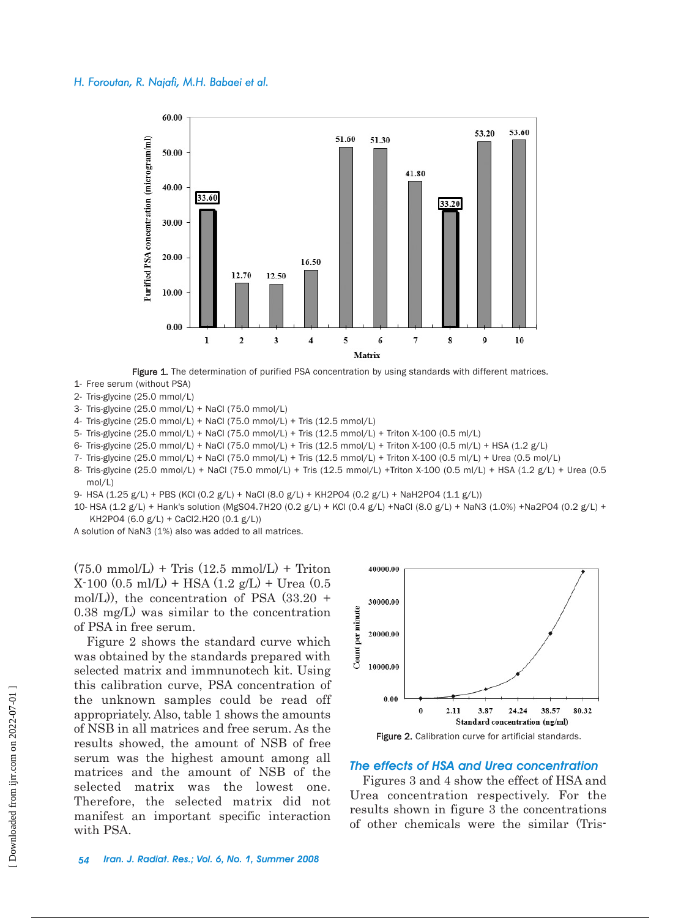

Figure 1. The determination of purified PSA concentration by using standards with different matrices.

- 1- Free serum (without PSA)
- 2- Tris-glycine (25.0 mmol/L)
- 3- Tris-glycine (25.0 mmol/L) + NaCl (75.0 mmol/L)
- 4- Tris-glycine (25.0 mmol/L) + NaCl (75.0 mmol/L) + Tris (12.5 mmol/L)
- 5- Tris-glycine (25.0 mmol/L) + NaCl (75.0 mmol/L) + Tris (12.5 mmol/L) + Triton X-100 (0.5 ml/L)
- 6- Tris-glycine (25.0 mmol/L) + NaCl (75.0 mmol/L) + Tris (12.5 mmol/L) + Triton X-100 (0.5 ml/L) + HSA (1.2 g/L)
- 7- Tris-glycine (25.0 mmol/L) + NaCl (75.0 mmol/L) + Tris (12.5 mmol/L) + Triton X-100 (0.5 ml/L) + Urea (0.5 mol/L)
- 8- Tris-glycine (25.0 mmol/L) + NaCl (75.0 mmol/L) + Tris (12.5 mmol/L) +Triton X-100 (0.5 ml/L) + HSA (1.2 g/L) + Urea (0.5 mol/L)
- 9- HSA (1.25 g/L) + PBS (KCl (0.2 g/L) + NaCl (8.0 g/L) + KH2PO4 (0.2 g/L) + NaH2PO4 (1.1 g/L))

10- HSA (1.2 g/L) + Hank's solution (MgSO4.7H2O (0.2 g/L) + KCl (0.4 g/L) +NaCl (8.0 g/L) + NaN3 (1.0%) +Na2PO4 (0.2 g/L) + KH2PO4 (6.0 g/L) + CaCl2.H2O (0.1 g/L))

A solution of NaN3 (1%) also was added to all matrices.

 $(75.0 \text{ mmol/L}) + \text{Tris} (12.5 \text{ mmol/L}) + \text{Triton}$  $X-100$  (0.5 ml/L) + HSA (1.2 g/L) + Urea (0.5 mol/L)), the concentration of PSA (33.20 + 0.38 mg/L) was similar to the concentration of PSA in free serum.

Figure 2 shows the standard curve which was obtained by the standards prepared with selected matrix and immnunotech kit. Using this calibration curve, PSA concentration of the unknown samples could be read off appropriately. Also, table 1 shows the amounts of NSB in all matrices and free serum. As the results showed, the amount of NSB of free serum was the highest amount among all matrices and the amount of NSB of the selected matrix was the lowest one. Therefore, the selected matrix did not manifest an important specific interaction with PSA.



#### *The effects of HSA and Urea concentration*

Figures 3 and 4 show the effect of HSA and Urea concentration respectively. For the results shown in figure 3 the concentrations of other chemicals were the similar (Tris-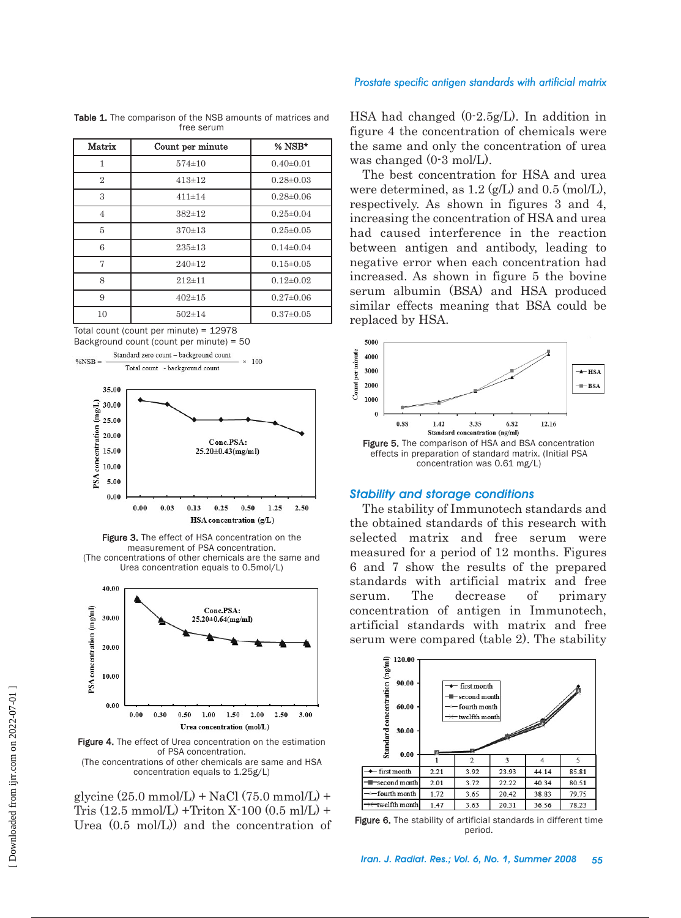#### *Prostate specific antigen standards with artificial matrix*

| Matrix         | Count per minute | $%$ NSB*        |
|----------------|------------------|-----------------|
| 1              | $574 \pm 10$     | $0.40 \pm 0.01$ |
| $\overline{2}$ | $413 \pm 12$     | $0.28 \pm 0.03$ |
| 3              | $411 \pm 14$     | $0.28 \pm 0.06$ |
| $\overline{4}$ | $382 \pm 12$     | $0.25 \pm 0.04$ |
| 5              | 370±13           | $0.25 \pm 0.05$ |
| 6              | $235 \pm 13$     | $0.14 \pm 0.04$ |
| 7              | 240±12           | $0.15 \pm 0.05$ |
| 8              | $212 \pm 11$     | $0.12\pm0.02$   |
| 9              | $402 \pm 15$     | $0.27 \pm 0.06$ |
| 10             | $502 \pm 14$     | $0.37 \pm 0.05$ |

Table 1. The comparison of the NSB amounts of matrices and free serum

Total count (count per minute) = 12978 Background count (count per minute) = 50



Figure 3. The effect of HSA concentration on the measurement of PSA concentration. (The concentrations of other chemicals are the same and Urea concentration equals to 0.5mol/L)



Figure 4. The effect of Urea concentration on the estimation of PSA concentration. (The concentrations of other chemicals are same and HSA concentration equals to 1.25g/L)

glycine  $(25.0 \text{ mmol/L}) + \text{NaCl} (75.0 \text{ mmol/L}) +$ Tris  $(12.5 \text{ mmol/L}) + \text{Triton X-100} (0.5 \text{ ml/L}) +$ Urea (0.5 mol/L)) and the concentration of HSA had changed (0-2.5g/L). In addition in figure 4 the concentration of chemicals were the same and only the concentration of urea was changed (0-3 mol/L).

The best concentration for HSA and urea were determined, as  $1.2 \left( \frac{\alpha}{L} \right)$  and  $0.5 \left( \frac{\text{mol}}{L} \right)$ . respectively. As shown in figures 3 and 4, increasing the concentration of HSA and urea had caused interference in the reaction between antigen and antibody, leading to negative error when each concentration had increased. As shown in figure 5 the bovine serum albumin (BSA) and HSA produced similar effects meaning that BSA could be replaced by HSA.



#### *Stability and storage conditions*

The stability of Immunotech standards and the obtained standards of this research with selected matrix and free serum were measured for a period of 12 months. Figures 6 and 7 show the results of the prepared standards with artificial matrix and free serum. The decrease of primary concentration of antigen in Immunotech, artificial standards with matrix and free serum were compared (table 2). The stability



Figure 6. The stability of artificial standards in different time period.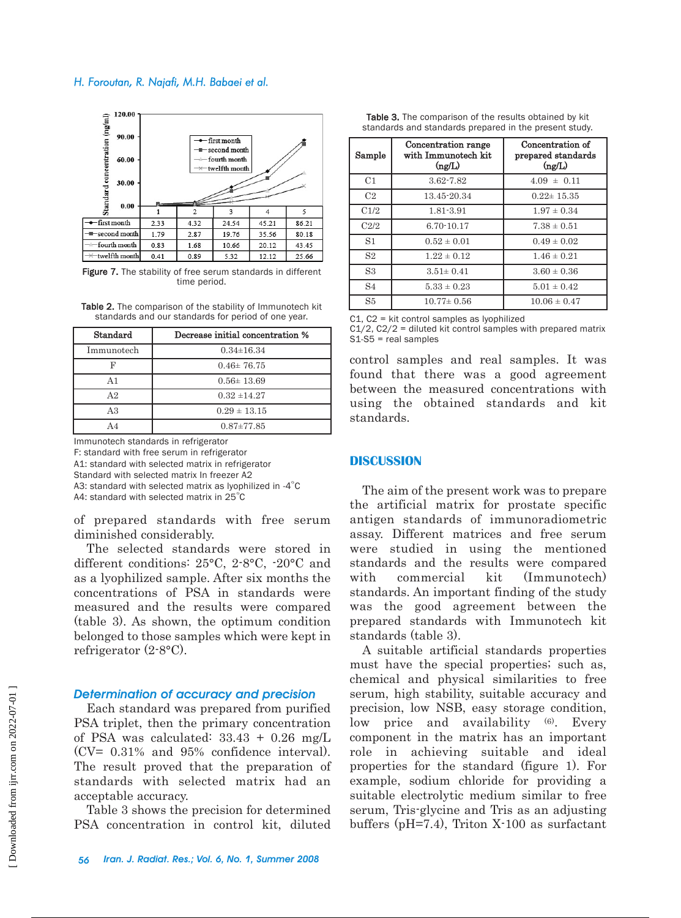#### *H. Foroutan, R. Najafi, M.H. Babaei et al.*



Figure 7. The stability of free serum standards in different time period.

Table 2. The comparison of the stability of Immunotech kit standards and our standards for period of one year.

| Standard       | Decrease initial concentration % |
|----------------|----------------------------------|
| Immunotech     | $0.34 \pm 16.34$                 |
| D              | $0.46 \pm 76.75$                 |
| А1             | $0.56 \pm 13.69$                 |
| A <sub>2</sub> | $0.32 + 14.27$                   |
| A3             | $0.29 \pm 13.15$                 |
|                | $0.87 \pm 77.85$                 |

Immunotech standards in refrigerator F: standard with free serum in refrigerator A1: standard with selected matrix in refrigerator Standard with selected matrix In freezer A2 A3: standard with selected matrix as lyophilized in -4 $^{\circ}$ C

A4: standard with selected matrix in  $25^{\circ}$ C

of prepared standards with free serum diminished considerably.

The selected standards were stored in different conditions: 25°C, 2-8°C, -20°C and as a lyophilized sample. After six months the concentrations of PSA in standards were measured and the results were compared (table 3). As shown, the optimum condition belonged to those samples which were kept in refrigerator (2-8°C).

#### *Determination of accuracy and precision*

Each standard was prepared from purified PSA triplet, then the primary concentration of PSA was calculated: 33.43 + 0.26 mg/L (CV= 0.31% and 95% confidence interval). The result proved that the preparation of standards with selected matrix had an acceptable accuracy.

Table 3 shows the precision for determined PSA concentration in control kit, diluted

Table 3. The comparison of the results obtained by kit standards and standards prepared in the present study.

| Sample         | Concentration range<br>with Immunotech kit<br>(ng/L) | Concentration of<br>prepared standards<br>$(\text{ng/L})$ |
|----------------|------------------------------------------------------|-----------------------------------------------------------|
| C1             | 3.62-7.82                                            | $4.09 \pm 0.11$                                           |
| C <sub>2</sub> | 13.45-20.34                                          | $0.22 \pm 15.35$                                          |
| C1/2           | 1.81-3.91                                            | $1.97 \pm 0.34$                                           |
| C2/2           | 6.70-10.17                                           | $7.38 \pm 0.51$                                           |
| S1             | $0.52 \pm 0.01$                                      | $0.49 \pm 0.02$                                           |
| S <sub>2</sub> | $1.22 \pm 0.12$                                      | $1.46 \pm 0.21$                                           |
| S <sub>3</sub> | $3.51 \pm 0.41$                                      | $3.60 \pm 0.36$                                           |
| S <sub>4</sub> | $5.33 \pm 0.23$                                      | $5.01 \pm 0.42$                                           |
| S5             | $10.77 \pm 0.56$                                     | $10.06 \pm 0.47$                                          |

 $C1$ ,  $C2$  = kit control samples as lyophilized

 $C1/2$ ,  $C2/2$  = diluted kit control samples with prepared matrix S1-S5 = real samples

control samples and real samples. It was found that there was a good agreement between the measured concentrations with using the obtained standards and kit standards.

#### **DISCUSSION**

The aim of the present work was to prepare the artificial matrix for prostate specific antigen standards of immunoradiometric assay. Different matrices and free serum were studied in using the mentioned standards and the results were compared with commercial kit (Immunotech) standards. An important finding of the study was the good agreement between the prepared standards with Immunotech kit standards (table 3).

A suitable artificial standards properties must have the special properties; such as, chemical and physical similarities to free serum, high stability, suitable accuracy and precision, low NSB, easy storage condition, low price and availability (6). Every component in the matrix has an important role in achieving suitable and ideal properties for the standard (figure 1). For example, sodium chloride for providing a suitable electrolytic medium similar to free serum, Tris-glycine and Tris as an adjusting buffers (pH=7.4), Triton X-100 as surfactant